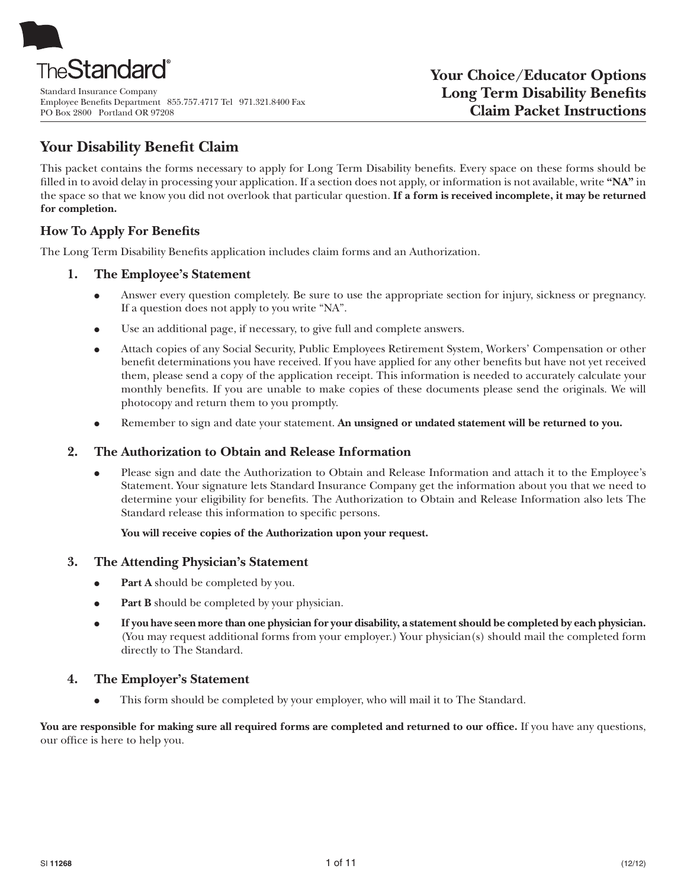

Standard Insurance Company Employee Benefits Department 855.757.4717 Tel 971.321.8400 Fax PO Box 2800 Portland OR 97208

# **Your Disability Benefit Claim**

This packet contains the forms necessary to apply for Long Term Disability benefits. Every space on these forms should be fi lled in to avoid delay in processing your application. If a section does not apply, or information is not available, write **"NA"** in the space so that we know you did not overlook that particular question. **If a form is received incomplete, it may be returned for completion.**

# **How To Apply For Benefits**

The Long Term Disability Benefits application includes claim forms and an Authorization.

### **1. The Employee's Statement**

- Answer every question completely. Be sure to use the appropriate section for injury, sickness or pregnancy. If a question does not apply to you write "NA".
- Use an additional page, if necessary, to give full and complete answers.
- Attach copies of any Social Security, Public Employees Retirement System, Workers' Compensation or other benefit determinations you have received. If you have applied for any other benefits but have not yet received them, please send a copy of the application receipt. This information is needed to accurately calculate your monthly benefits. If you are unable to make copies of these documents please send the originals. We will photocopy and return them to you promptly.
- Remember to sign and date your statement. An unsigned or undated statement will be returned to you.

### **2. The Authorization to Obtain and Release Information**

Please sign and date the Authorization to Obtain and Release Information and attach it to the Employee's Statement. Your signature lets Standard Insurance Company get the information about you that we need to determine your eligibility for benefits. The Authorization to Obtain and Release Information also lets The Standard release this information to specific persons.

### **You will receive copies of the Authorization upon your request.**

### **3. The Attending Physician's Statement**

- Part A should be completed by you.
- Part B should be completed by your physician.
- **If you have seen more than one physician for your disability, a statement should be completed by each physician.** (You may request additional forms from your employer.) Your physician(s) should mail the completed form directly to The Standard.

# **4. The Employer's Statement**

This form should be completed by your employer, who will mail it to The Standard.

You are responsible for making sure all required forms are completed and returned to our office. If you have any questions, our office is here to help you.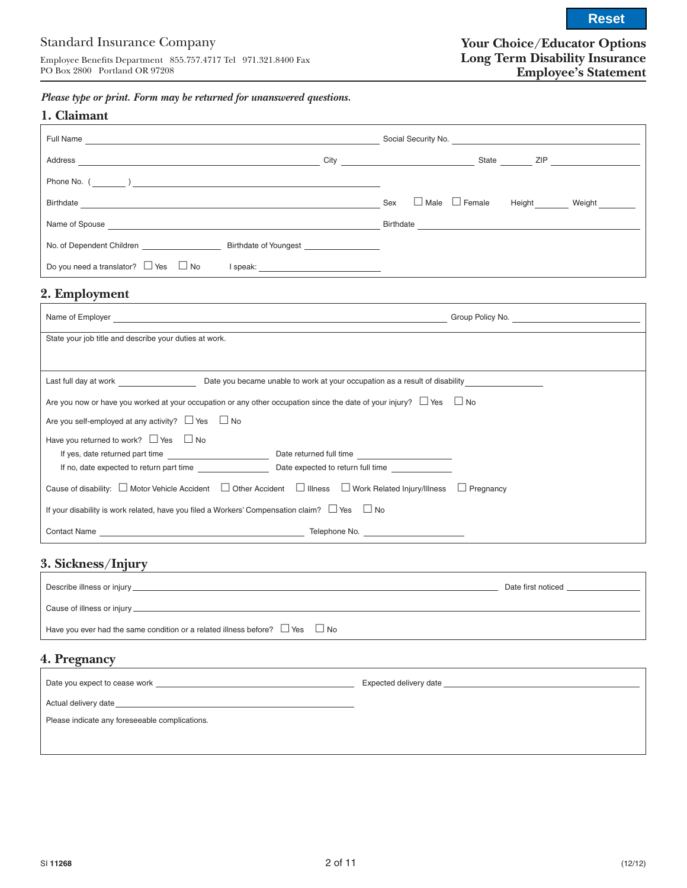**Reset**

*Please type or print. Form may be returned for unanswered questions.*

| Full Name<br><u> 1980 - Jan Sterling von Berling von Berling von Berling von Berling von Berling von Berling von Berling von B</u> |  |                                                   |
|------------------------------------------------------------------------------------------------------------------------------------|--|---------------------------------------------------|
| Address<br>and the control of the control of the control of the control of the control of the control of the control of the        |  | State ZIP                                         |
|                                                                                                                                    |  |                                                   |
| Birthdate <b>Experimental Contract of the Contract of Contract Contract of Contract Contract Only 100</b>                          |  | $\Box$ Male $\Box$ Female<br>Height Weight<br>Sex |
|                                                                                                                                    |  | Birthdate                                         |
| No. of Dependent Children <b>Example 20</b> Birthdate of Youngest                                                                  |  |                                                   |
| Do you need a translator? $\Box$ Yes $\Box$ No                                                                                     |  |                                                   |

# **2. Employment**

| Name of Employer <b>Example 2018 Contract Contract Contract Contract Contract Contract Contract Contract Contract Contract Contract Contract Contract Contract Contract Contract Contract Contract Contract Contract Contract </b> | Group Policy No. <u>________________________</u> |
|------------------------------------------------------------------------------------------------------------------------------------------------------------------------------------------------------------------------------------|--------------------------------------------------|
| State your job title and describe your duties at work.                                                                                                                                                                             |                                                  |
|                                                                                                                                                                                                                                    |                                                  |
| Last full day at work <b>Example 20</b> Date you became unable to work at your occupation as a result of disability                                                                                                                |                                                  |
| Are you now or have you worked at your occupation or any other occupation since the date of your injury? $\Box$ Yes $\Box$ No                                                                                                      |                                                  |
| Are you self-employed at any activity? $\Box$ Yes $\Box$ No                                                                                                                                                                        |                                                  |
| Have you returned to work? $\Box$ Yes $\Box$ No                                                                                                                                                                                    |                                                  |
|                                                                                                                                                                                                                                    |                                                  |
| If no, date expected to return part time Date expected to return full time                                                                                                                                                         |                                                  |
| Cause of disability: $\Box$ Motor Vehicle Accident $\Box$ Other Accident $\Box$ Illness $\Box$ Work Related Injury/Illness $\Box$ Pregnancy                                                                                        |                                                  |
| If your disability is work related, have you filed a Workers' Compensation claim? $\Box$ Yes $\Box$ No                                                                                                                             |                                                  |
|                                                                                                                                                                                                                                    |                                                  |

# **3. Sickness/Injury**

|                                                                                        | Date first noticed |
|----------------------------------------------------------------------------------------|--------------------|
|                                                                                        |                    |
| Have you ever had the same condition or a related illness before? $\Box$ Yes $\Box$ No |                    |
| 4. Pregnancy                                                                           |                    |

|                                                                                                                | Expected delivery date |
|----------------------------------------------------------------------------------------------------------------|------------------------|
| Actual delivery date services and the services of the services of the services of the services of the services |                        |
| Please indicate any foreseeable complications.                                                                 |                        |
|                                                                                                                |                        |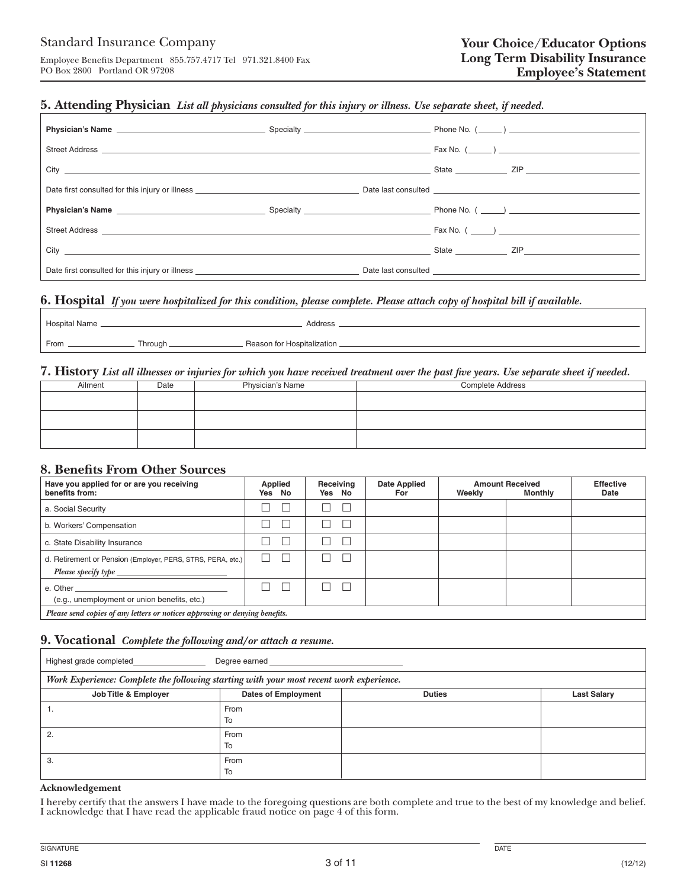### **5. Attending Physician** *List all physicians consulted for this injury or illness. Use separate sheet, if needed.*

| Physician's Name <b>Contract Contract Contract Contract Contract Contract Contract Contract Contract Contract Contract Contract Contract Contract Contract Contract Contract Contract Contract Contract Contract Contract Contra</b> |  |  |
|--------------------------------------------------------------------------------------------------------------------------------------------------------------------------------------------------------------------------------------|--|--|
|                                                                                                                                                                                                                                      |  |  |
|                                                                                                                                                                                                                                      |  |  |
| Date first consulted for this injury or illness Demonstration of the state of the Demonstration of Demonstration                                                                                                                     |  |  |
| Physician's Name <b>Discrete Contract Contract Contract Contract Contract Contract Contract Contract Contract Contract Contract Contract Contract Contract Contract Contract Contract Contract Contract Contract Contract Contra</b> |  |  |
|                                                                                                                                                                                                                                      |  |  |
|                                                                                                                                                                                                                                      |  |  |
| Date first consulted for this injury or illness ________________________________                                                                                                                                                     |  |  |

### **6. Hospital** *If you were hospitalized for this condition, please complete. Please attach copy of hospital bill if available.*

| Hospital Name. |                      | Address                     |
|----------------|----------------------|-----------------------------|
| From.          | Through <sub>-</sub> | Reason for Hospitalization. |

#### **7. History** *List all illnesses or injuries for which you have received treatment over the past five years. Use separate sheet if needed.*

| Ailment | Date | <b>Physician's Name</b> | <b>Complete Address</b> |
|---------|------|-------------------------|-------------------------|
|         |      |                         |                         |
|         |      |                         |                         |
|         |      |                         |                         |
|         |      |                         |                         |
|         |      |                         |                         |
|         |      |                         |                         |

### **8. Benefits From Other Sources**

| Have you applied for or are you receiving<br>benefits from:                                                 | Applied<br>Yes No | Receiving<br>Yes No | <b>Date Applied</b><br>For | Weekly | <b>Amount Received</b><br><b>Monthly</b> | <b>Effective</b><br>Date |
|-------------------------------------------------------------------------------------------------------------|-------------------|---------------------|----------------------------|--------|------------------------------------------|--------------------------|
| a. Social Security                                                                                          | L                 |                     |                            |        |                                          |                          |
| b. Workers' Compensation                                                                                    | L                 |                     |                            |        |                                          |                          |
| c. State Disability Insurance                                                                               | L                 |                     |                            |        |                                          |                          |
| d. Retirement or Pension (Employer, PERS, STRS, PERA, etc.)<br>Please specify type $\overline{\phantom{a}}$ | п                 |                     |                            |        |                                          |                          |
| e. Other<br>(e.g., unemployment or union benefits, etc.)                                                    | L                 |                     |                            |        |                                          |                          |
| Please send copies of any letters or notices approving or denying benefits.                                 |                   |                     |                            |        |                                          |                          |

*Please send copies of any letters or notices approving or denying benefits.* 

# **9. Vocational** *Complete the following and/or attach a resume.*

| Highest grade completed                                                                 |                            |               |                    |
|-----------------------------------------------------------------------------------------|----------------------------|---------------|--------------------|
| Work Experience: Complete the following starting with your most recent work experience. |                            |               |                    |
| Job Title & Employer                                                                    | <b>Dates of Employment</b> | <b>Duties</b> | <b>Last Salary</b> |
|                                                                                         | From<br>To                 |               |                    |
|                                                                                         | From<br>To                 |               |                    |
| 3.                                                                                      | From<br>To                 |               |                    |

#### **Acknowledgement**

I hereby certify that the answers I have made to the foregoing questions are both complete and true to the best of my knowledge and belief. I acknowledge that I have read the applicable fraud notice on page 4 of this form.

SIGNATURE DATE DESCRIPTION OF SERVICES AND LOCAL CONTRACTOR CONTRACTOR OF DATE OF DATE OF DATE OF DATE OF DATE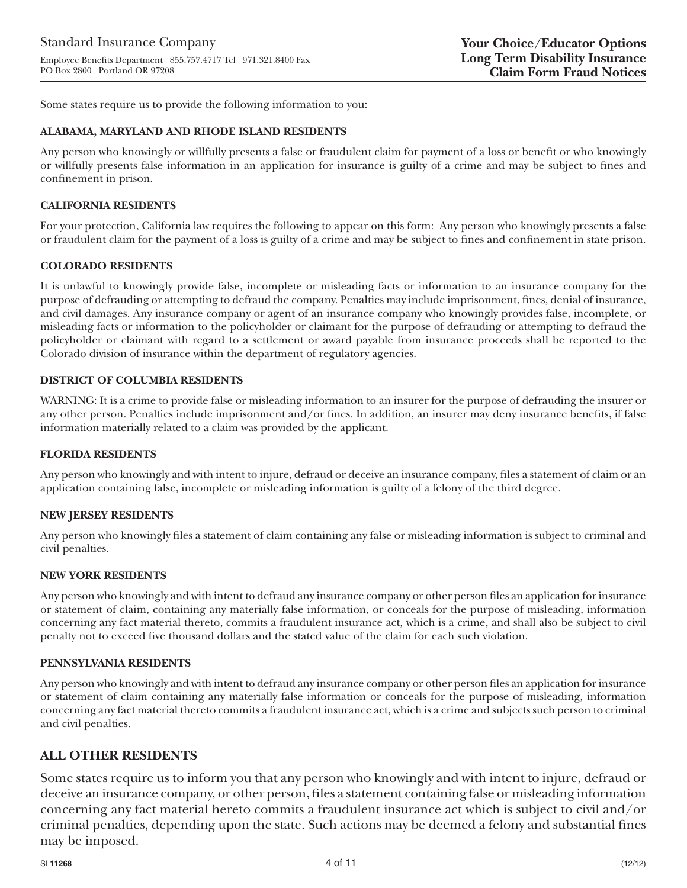Some states require us to provide the following information to you:

#### **ALABAMA, MARYLAND AND RHODE ISLAND RESIDENTS**

Any person who knowingly or willfully presents a false or fraudulent claim for payment of a loss or benefit or who knowingly or willfully presents false information in an application for insurance is guilty of a crime and may be subject to fines and confinement in prison.

#### **CALIFORNIA RESIDENTS**

For your protection, California law requires the following to appear on this form: Any person who knowingly presents a false or fraudulent claim for the payment of a loss is guilty of a crime and may be subject to fines and confinement in state prison.

#### **COLORADO RESIDENTS**

It is unlawful to knowingly provide false, incomplete or misleading facts or information to an insurance company for the purpose of defrauding or attempting to defraud the company. Penalties may include imprisonment, fines, denial of insurance, and civil damages. Any insurance company or agent of an insurance company who knowingly provides false, incomplete, or misleading facts or information to the policyholder or claimant for the purpose of defrauding or attempting to defraud the policyholder or claimant with regard to a settlement or award payable from insurance proceeds shall be reported to the Colorado division of insurance within the department of regulatory agencies.

#### **DISTRICT OF COLUMBIA RESIDENTS**

WARNING: It is a crime to provide false or misleading information to an insurer for the purpose of defrauding the insurer or any other person. Penalties include imprisonment and/or fines. In addition, an insurer may deny insurance benefits, if false information materially related to a claim was provided by the applicant.

#### **FLORIDA RESIDENTS**

Any person who knowingly and with intent to injure, defraud or deceive an insurance company, files a statement of claim or an application containing false, incomplete or misleading information is guilty of a felony of the third degree.

### **NEW JERSEY RESIDENTS**

Any person who knowingly files a statement of claim containing any false or misleading information is subject to criminal and civil penalties.

#### **NEW YORK RESIDENTS**

Any person who knowingly and with intent to defraud any insurance company or other person files an application for insurance or statement of claim, containing any materially false information, or conceals for the purpose of misleading, information concerning any fact material thereto, commits a fraudulent insurance act, which is a crime, and shall also be subject to civil penalty not to exceed five thousand dollars and the stated value of the claim for each such violation.

#### **PENNSYLVANIA RESIDENTS**

Any person who knowingly and with intent to defraud any insurance company or other person files an application for insurance or statement of claim containing any materially false information or conceals for the purpose of misleading, information concerning any fact material thereto commits a fraudulent insurance act, which is a crime and subjects such person to criminal and civil penalties.

### **ALL OTHER RESIDENTS**

Some states require us to inform you that any person who knowingly and with intent to injure, defraud or deceive an insurance company, or other person, files a statement containing false or misleading information concerning any fact material hereto commits a fraudulent insurance act which is subject to civil and/or criminal penalties, depending upon the state. Such actions may be deemed a felony and substantial fines may be imposed.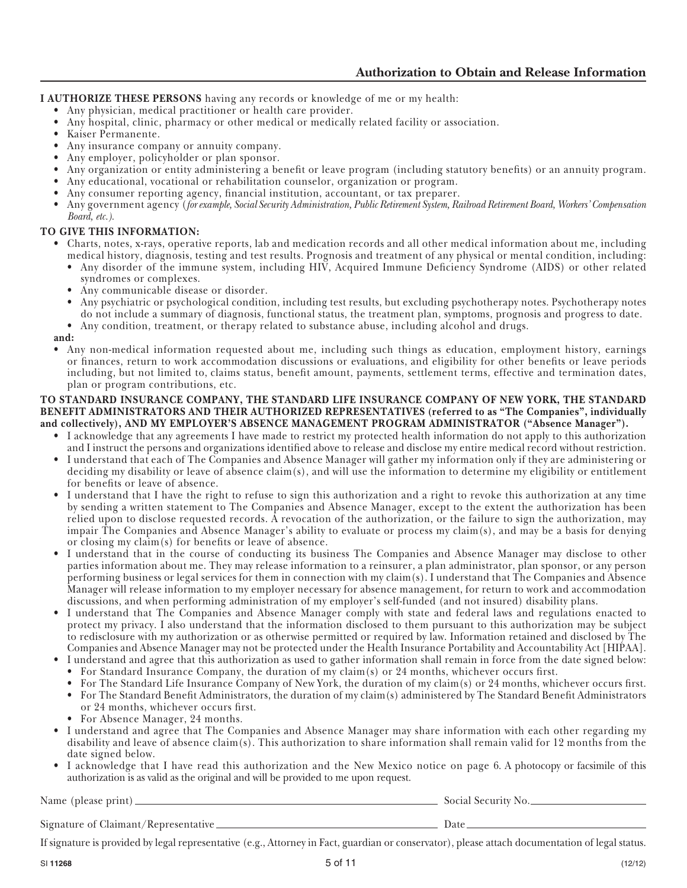**I AUTHORIZE THESE PERSONS** having any records or knowledge of me or my health:

- Any physician, medical practitioner or health care provider.
- Any hospital, clinic, pharmacy or other medical or medically related facility or association.<br>• Kaiser Permanente
- Kaiser Permanente.
- Any insurance company or annuity company.
- Any employer, policyholder or plan sponsor.
- Any organization or entity administering a benefit or leave program (including statutory benefits) or an annuity program.
- Any educational, vocational or rehabilitation counselor, organization or program.
- Any consumer reporting agency, financial institution, accountant, or tax preparer.
- Any government agency (*for example, Social Security Administration, Public Retirement System, Railroad Retirement Board, Workers' Compensation Board, etc.).*

### **TO GIVE THIS INFORMATION:**

- Charts, notes, x-rays, operative reports, lab and medication records and all other medical information about me, including medical history, diagnosis, testing and test results. Prognosis and treatment of any physical or mental condition, including:
	- Any disorder of the immune system, including HIV, Acquired Immune Deficiency Syndrome (AIDS) or other related syndromes or complexes.
	- Any communicable disease or disorder.
	- Any psychiatric or psychological condition, including test results, but excluding psychotherapy notes. Psychotherapy notes do not include a summary of diagnosis, functional status, the treatment plan, symptoms, prognosis and progress to date.
	- Any condition, treatment, or therapy related to substance abuse, including alcohol and drugs.

**and:** 

• Any non-medical information requested about me, including such things as education, employment history, earnings or finances, return to work accommodation discussions or evaluations, and eligibility for other benefits or leave periods including, but not limited to, claims status, benefit amount, payments, settlement terms, effective and termination dates, plan or program contributions, etc.

#### **TO STANDARD INSURANCE COMPANY, THE STANDARD LIFE INSURANCE COMPANY OF NEW YORK, THE STANDARD BENEFIT ADMINISTRATORS AND THEIR AUTHORIZED REPRESENTATIVES (referred to as "The Companies", individually and collectively), AND MY EMPLOYER'S ABSENCE MANAGEMENT PROGRAM ADMINISTRATOR ("Absence Manager").**

- I acknowledge that any agreements I have made to restrict my protected health information do not apply to this authorization and I instruct the persons and organizations identified above to release and disclose my entire medical record without restriction.
- I understand that each of The Companies and Absence Manager will gather my information only if they are administering or deciding my disability or leave of absence claim(s), and will use the information to determine my eligibility or entitlement for benefits or leave of absence.
- I understand that I have the right to refuse to sign this authorization and a right to revoke this authorization at any time by sending a written statement to The Companies and Absence Manager, except to the extent the authorization has been relied upon to disclose requested records. A revocation of the authorization, or the failure to sign the authorization, may impair The Companies and Absence Manager's ability to evaluate or process my claim(s), and may be a basis for denying or closing my  $claim(s)$  for benefits or leave of absence.
- I understand that in the course of conducting its business The Companies and Absence Manager may disclose to other parties information about me. They may release information to a reinsurer, a plan administrator, plan sponsor, or any person performing business or legal services for them in connection with my claim(s). I understand that The Companies and Absence Manager will release information to my employer necessary for absence management, for return to work and accommodation discussions, and when performing administration of my employer's self-funded (and not insured) disability plans.
- I understand that The Companies and Absence Manager comply with state and federal laws and regulations enacted to protect my privacy. I also understand that the information disclosed to them pursuant to this authorization may be subject to redisclosure with my authorization or as otherwise permitted or required by law. Information retained and disclosed by The Companies and Absence Manager may not be protected under the Health Insurance Portability and Accountability Act [HIPAA].
	- I understand and agree that this authorization as used to gather information shall remain in force from the date signed below:
	- For Standard Insurance Company, the duration of my claim(s) or 24 months, whichever occurs first.
	- For The Standard Life Insurance Company of New York, the duration of my claim(s) or 24 months, whichever occurs first.
	- For The Standard Benefit Administrators, the duration of my claim(s) administered by The Standard Benefit Administrators or 24 months, whichever occurs first.
	- For Absence Manager, 24 months.
- I understand and agree that The Companies and Absence Manager may share information with each other regarding my disability and leave of absence claim(s). This authorization to share information shall remain valid for 12 months from the date signed below.
- I acknowledge that I have read this authorization and the New Mexico notice on page 6. A photocopy or facsimile of this authorization is as valid as the original and will be provided to me upon request.

Name (please print) Social Security No.

Signature of Claimant/Representative Date

If signature is provided by legal representative (e.g., Attorney in Fact, guardian or conservator), please attach documentation of legal status.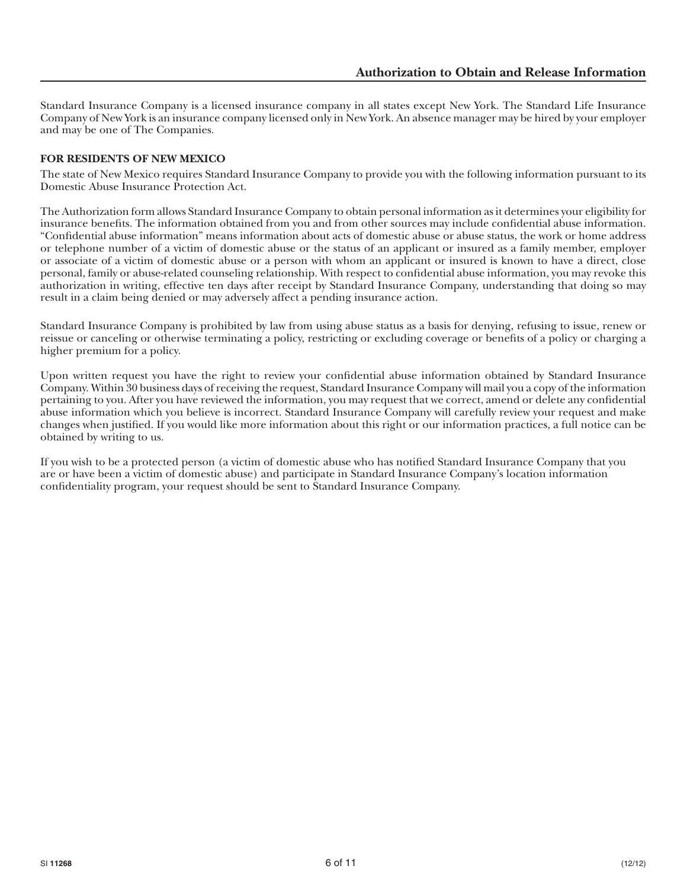Standard Insurance Company is a licensed insurance company in all states except New York. The Standard Life Insurance Company of New York is an insurance company licensed only in New York. An absence manager may be hired by your employer and may be one of The Companies.

### **FOR RESIDENTS OF NEW MEXICO**

The state of New Mexico requires Standard Insurance Company to provide you with the following information pursuant to its Domestic Abuse Insurance Protection Act.

The Authorization form allows Standard Insurance Company to obtain personal information as it determines your eligibility for insurance benefits. The information obtained from you and from other sources may include confidential abuse information. "Confidential abuse information" means information about acts of domestic abuse or abuse status, the work or home address or telephone number of a victim of domestic abuse or the status of an applicant or insured as a family member, employer or associate of a victim of domestic abuse or a person with whom an applicant or insured is known to have a direct, close personal, family or abuse-related counseling relationship. With respect to confidential abuse information, you may revoke this authorization in writing, effective ten days after receipt by Standard Insurance Company, understanding that doing so may result in a claim being denied or may adversely affect a pending insurance action.

Standard Insurance Company is prohibited by law from using abuse status as a basis for denying, refusing to issue, renew or reissue or canceling or otherwise terminating a policy, restricting or excluding coverage or benefits of a policy or charging a higher premium for a policy.

Upon written request you have the right to review your confidential abuse information obtained by Standard Insurance Company. Within 30 business days of receiving the request, Standard Insurance Company will mail you a copy of the information pertaining to you. After you have reviewed the information, you may request that we correct, amend or delete any confidential abuse information which you believe is incorrect. Standard Insurance Company will carefully review your request and make changes when justified. If you would like more information about this right or our information practices, a full notice can be obtained by writing to us.

If you wish to be a protected person (a victim of domestic abuse who has notified Standard Insurance Company that you are or have been a victim of domestic abuse) and participate in Standard Insurance Company's location information confidentiality program, your request should be sent to Standard Insurance Company.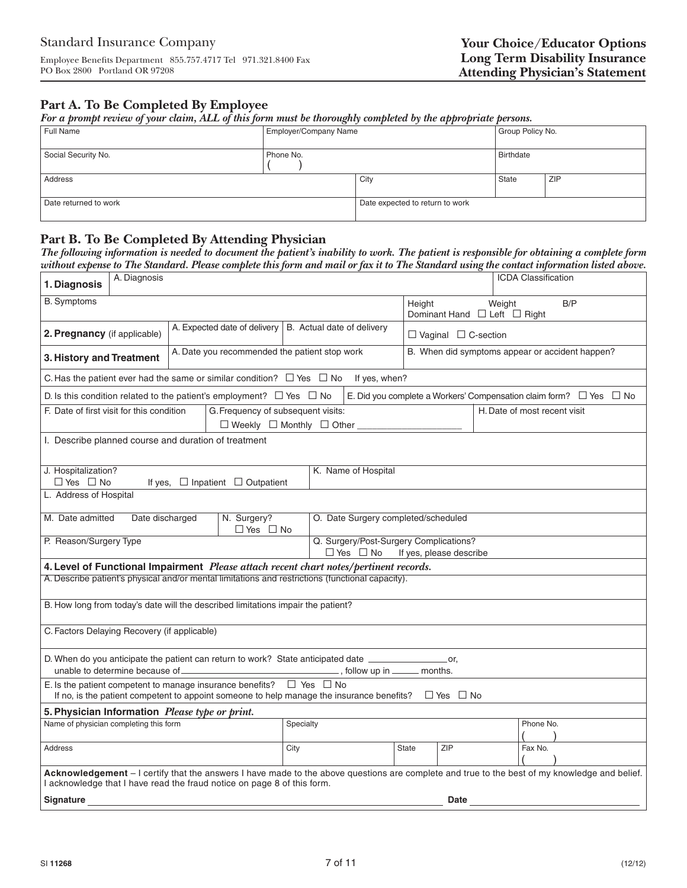# **Part A. To Be Completed By Employee**

*For a prompt review of your claim, ALL of this form must be thoroughly completed by the appropriate persons.*

| Full Name             | <b>Employer/Company Name</b> |                                 | Group Policy No. |     |
|-----------------------|------------------------------|---------------------------------|------------------|-----|
| Social Security No.   | Phone No.                    |                                 | <b>Birthdate</b> |     |
| Address               |                              | City                            | State            | ZIP |
| Date returned to work |                              | Date expected to return to work |                  |     |

# **Part B. To Be Completed By Attending Physician**

*The following information is needed to document the patient's inability to work. The patient is responsible for obtaining a complete form without expense to The Standard. Please complete this form and mail or fax it to The Standard using the contact information listed above.*

| A. Diagnosis<br>1. Diagnosis                                                                                                                                                                                             |                                                                             |  |                                                                              |                                                                   |                                                 |  | ICDA Classification          |  |  |
|--------------------------------------------------------------------------------------------------------------------------------------------------------------------------------------------------------------------------|-----------------------------------------------------------------------------|--|------------------------------------------------------------------------------|-------------------------------------------------------------------|-------------------------------------------------|--|------------------------------|--|--|
| <b>B.</b> Symptoms                                                                                                                                                                                                       |                                                                             |  |                                                                              | Weight<br>B/P<br>Height<br>Dominant Hand □ Left □ Right           |                                                 |  |                              |  |  |
| 2. Pregnancy (if applicable)                                                                                                                                                                                             | A. Expected date of delivery   B. Actual date of delivery                   |  |                                                                              |                                                                   | $\Box$ Vaginal $\Box$ C-section                 |  |                              |  |  |
| 3. History and Treatment                                                                                                                                                                                                 | A. Date you recommended the patient stop work                               |  |                                                                              |                                                                   | B. When did symptoms appear or accident happen? |  |                              |  |  |
| C. Has the patient ever had the same or similar condition? $\Box$ Yes $\Box$ No                                                                                                                                          |                                                                             |  | If yes, when?                                                                |                                                                   |                                                 |  |                              |  |  |
| D. Is this condition related to the patient's employment? $\Box$ Yes $\Box$ No                                                                                                                                           |                                                                             |  | E. Did you complete a Workers' Compensation claim form? $\Box$ Yes $\Box$ No |                                                                   |                                                 |  |                              |  |  |
| F. Date of first visit for this condition                                                                                                                                                                                | G. Frequency of subsequent visits:<br>□ Weekly □ Monthly □ Other __________ |  |                                                                              |                                                                   |                                                 |  | H. Date of most recent visit |  |  |
| I. Describe planned course and duration of treatment                                                                                                                                                                     |                                                                             |  |                                                                              |                                                                   |                                                 |  |                              |  |  |
| J. Hospitalization?<br>$\Box$ Yes $\Box$ No                                                                                                                                                                              | If yes, $\Box$ Inpatient $\Box$ Outpatient                                  |  | K. Name of Hospital                                                          |                                                                   |                                                 |  |                              |  |  |
| L. Address of Hospital                                                                                                                                                                                                   |                                                                             |  |                                                                              |                                                                   |                                                 |  |                              |  |  |
| M. Date admitted<br>Date discharged                                                                                                                                                                                      | N. Surgery?<br>$\Box$ Yes $\Box$ No                                         |  | O. Date Surgery completed/scheduled                                          |                                                                   |                                                 |  |                              |  |  |
| P. Reason/Surgery Type                                                                                                                                                                                                   |                                                                             |  | $\Box$ Yes $\Box$ No                                                         | Q. Surgery/Post-Surgery Complications?<br>If yes, please describe |                                                 |  |                              |  |  |
| 4. Level of Functional Impairment Please attach recent chart notes/pertinent records.                                                                                                                                    |                                                                             |  |                                                                              |                                                                   |                                                 |  |                              |  |  |
| A. Describe patient's physical and/or mental limitations and restrictions (functional capacity).                                                                                                                         |                                                                             |  |                                                                              |                                                                   |                                                 |  |                              |  |  |
| B. How long from today's date will the described limitations impair the patient?                                                                                                                                         |                                                                             |  |                                                                              |                                                                   |                                                 |  |                              |  |  |
| C. Factors Delaying Recovery (if applicable)                                                                                                                                                                             |                                                                             |  |                                                                              |                                                                   |                                                 |  |                              |  |  |
| D. When do you anticipate the patient can return to work? State anticipated date _______________________or,<br>unable to determine because of                                                                            |                                                                             |  | ., follow up in ______ months.                                               |                                                                   |                                                 |  |                              |  |  |
| E. Is the patient competent to manage insurance benefits? $\Box$ Yes $\Box$ No<br>If no, is the patient competent to appoint someone to help manage the insurance benefits? $\Box$ Yes $\Box$ No                         |                                                                             |  |                                                                              |                                                                   |                                                 |  |                              |  |  |
| 5. Physician Information Please type or print.                                                                                                                                                                           |                                                                             |  |                                                                              |                                                                   |                                                 |  |                              |  |  |
| Name of physician completing this form<br>Specialty<br>Phone No.                                                                                                                                                         |                                                                             |  |                                                                              |                                                                   |                                                 |  |                              |  |  |
| <b>Address</b>                                                                                                                                                                                                           | ZIP<br>City<br>State<br>Fax No.                                             |  |                                                                              |                                                                   |                                                 |  |                              |  |  |
| Acknowledgement - I certify that the answers I have made to the above questions are complete and true to the best of my knowledge and belief.<br>I acknowledge that I have read the fraud notice on page 8 of this form. |                                                                             |  |                                                                              |                                                                   |                                                 |  |                              |  |  |
| Signature                                                                                                                                                                                                                |                                                                             |  |                                                                              |                                                                   | Date                                            |  |                              |  |  |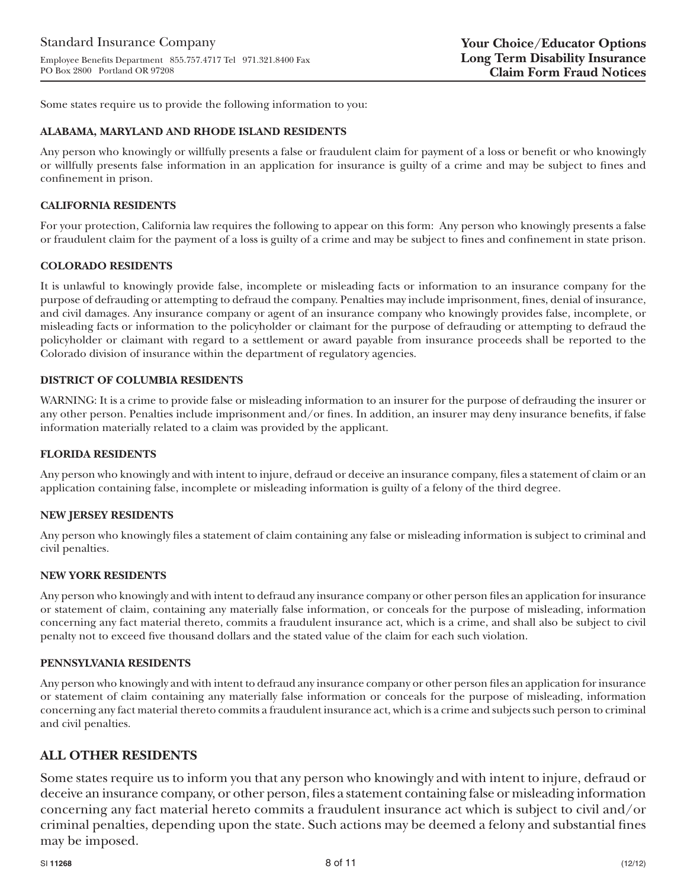Some states require us to provide the following information to you:

#### **ALABAMA, MARYLAND AND RHODE ISLAND RESIDENTS**

Any person who knowingly or willfully presents a false or fraudulent claim for payment of a loss or benefit or who knowingly or willfully presents false information in an application for insurance is guilty of a crime and may be subject to fines and confinement in prison.

#### **CALIFORNIA RESIDENTS**

For your protection, California law requires the following to appear on this form: Any person who knowingly presents a false or fraudulent claim for the payment of a loss is guilty of a crime and may be subject to fines and confinement in state prison.

#### **COLORADO RESIDENTS**

It is unlawful to knowingly provide false, incomplete or misleading facts or information to an insurance company for the purpose of defrauding or attempting to defraud the company. Penalties may include imprisonment, fines, denial of insurance, and civil damages. Any insurance company or agent of an insurance company who knowingly provides false, incomplete, or misleading facts or information to the policyholder or claimant for the purpose of defrauding or attempting to defraud the policyholder or claimant with regard to a settlement or award payable from insurance proceeds shall be reported to the Colorado division of insurance within the department of regulatory agencies.

#### **DISTRICT OF COLUMBIA RESIDENTS**

WARNING: It is a crime to provide false or misleading information to an insurer for the purpose of defrauding the insurer or any other person. Penalties include imprisonment and/or fines. In addition, an insurer may deny insurance benefits, if false information materially related to a claim was provided by the applicant.

#### **FLORIDA RESIDENTS**

Any person who knowingly and with intent to injure, defraud or deceive an insurance company, files a statement of claim or an application containing false, incomplete or misleading information is guilty of a felony of the third degree.

#### **NEW JERSEY RESIDENTS**

Any person who knowingly files a statement of claim containing any false or misleading information is subject to criminal and civil penalties.

#### **NEW YORK RESIDENTS**

Any person who knowingly and with intent to defraud any insurance company or other person files an application for insurance or statement of claim, containing any materially false information, or conceals for the purpose of misleading, information concerning any fact material thereto, commits a fraudulent insurance act, which is a crime, and shall also be subject to civil penalty not to exceed five thousand dollars and the stated value of the claim for each such violation.

#### **PENNSYLVANIA RESIDENTS**

Any person who knowingly and with intent to defraud any insurance company or other person files an application for insurance or statement of claim containing any materially false information or conceals for the purpose of misleading, information concerning any fact material thereto commits a fraudulent insurance act, which is a crime and subjects such person to criminal and civil penalties.

### **ALL OTHER RESIDENTS**

Some states require us to inform you that any person who knowingly and with intent to injure, defraud or deceive an insurance company, or other person, files a statement containing false or misleading information concerning any fact material hereto commits a fraudulent insurance act which is subject to civil and/or criminal penalties, depending upon the state. Such actions may be deemed a felony and substantial fines may be imposed.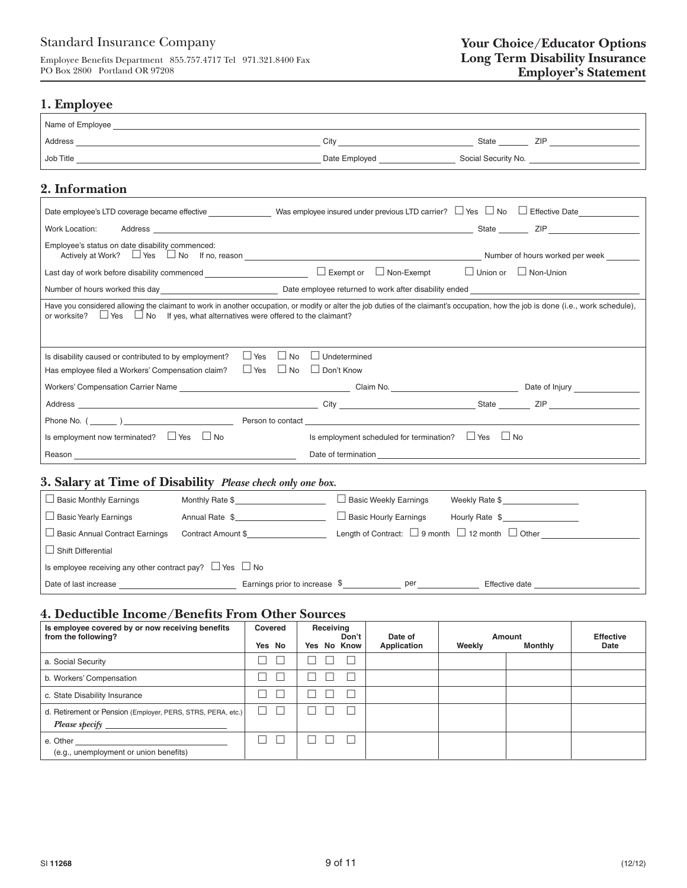# Standard Insurance Company

Employee Benefits Department  $\,$  855.757.4717 Tel  $\,$  971.321.8400 Fax PO Box 2800 Portland OR 97208

### **1. Employee**

| 2. Information                                                                                                                             |                                                               |                                  |                                                                 |
|--------------------------------------------------------------------------------------------------------------------------------------------|---------------------------------------------------------------|----------------------------------|-----------------------------------------------------------------|
| Date employee's LTD coverage became effective ________________Was employee insured under previous LTD carrier? □ Yes □ No □ Effective Date |                                                               |                                  |                                                                 |
| Work Location:                                                                                                                             |                                                               |                                  |                                                                 |
| Employee's status on date disability commenced:                                                                                            |                                                               |                                  |                                                                 |
| Last day of work before disability commenced $\Box$ $\Box$ Exempt or $\Box$ Non-Exempt                                                     |                                                               | $\Box$ Union or $\Box$ Non-Union |                                                                 |
|                                                                                                                                            |                                                               |                                  |                                                                 |
| $\Box$ No<br>$\Box$ Yes<br>Is disability caused or contributed to by employment?<br>Has employee filed a Workers' Compensation claim?      | $\Box$ Undetermined<br>$\Box$ Yes $\Box$ No $\Box$ Don't Know |                                  |                                                                 |
|                                                                                                                                            |                                                               |                                  |                                                                 |
|                                                                                                                                            |                                                               |                                  |                                                                 |
|                                                                                                                                            |                                                               |                                  |                                                                 |
| Is employment now terminated? $\Box$ Yes $\Box$ No                                                                                         | Is employment scheduled for termination? $\Box$ Yes $\Box$ No |                                  |                                                                 |
| Reason <b>Example 2018 Reason</b>                                                                                                          |                                                               |                                  |                                                                 |
| 3. Salary at Time of Disability Please check only one box.                                                                                 |                                                               |                                  |                                                                 |
| $\Box$ Basic Monthly Earnings<br>Monthly Rate \$                                                                                           | $\Box$ Basic Weekly Earnings                                  | Weekly Rate \$                   |                                                                 |
| $\Box$ Basic Yearly Earnings<br>Annual Rate \$                                                                                             | $\Box$ Basic Hourly Earnings                                  | Hourly Rate \$                   |                                                                 |
| $\Box$ Basic Annual Contract Earnings<br>Contract Amount \$                                                                                |                                                               |                                  | Length of Contract: $\Box$ 9 month $\Box$ 12 month $\Box$ Other |
| $\Box$ Shift Differential                                                                                                                  |                                                               |                                  |                                                                 |

Date of last increase Earnings prior to increase Effective date

# **4. Deductible Income/Benefits From Other Sources**

Is employee receiving any other contract pay?  $\Box$  Yes  $\Box$  No

| Is employee covered by or now receiving benefits<br>from the following?       | Covered<br>Yes No | Receiving<br>Don't<br>Yes No Know | Date of<br>Application | Weekly | Amount<br><b>Monthly</b> | <b>Effective</b><br>Date |
|-------------------------------------------------------------------------------|-------------------|-----------------------------------|------------------------|--------|--------------------------|--------------------------|
| a. Social Security                                                            |                   |                                   |                        |        |                          |                          |
| b. Workers' Compensation                                                      |                   |                                   |                        |        |                          |                          |
| c. State Disability Insurance                                                 |                   |                                   |                        |        |                          |                          |
| d. Retirement or Pension (Employer, PERS, STRS, PERA, etc.)<br>Please specify | П                 |                                   |                        |        |                          |                          |
| e. Other<br>(e.g., unemployment or union benefits)                            |                   |                                   |                        |        |                          |                          |

per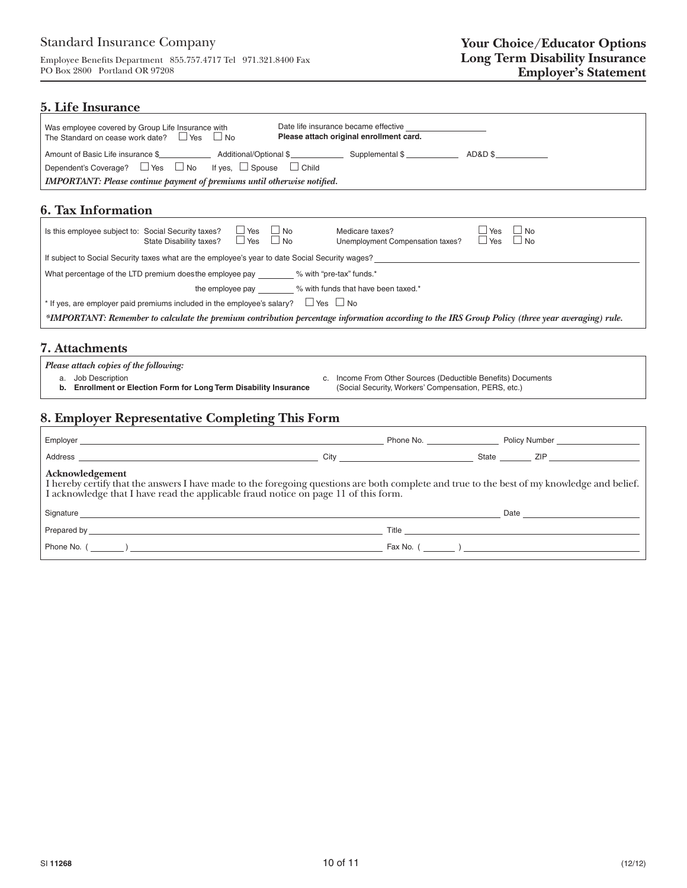Employee Benefits Department  $855.757.4717$  Tel 971.321.8400 Fax PO Box 2800 Portland OR 97208

### **5. Life Insurance**

| Was employee covered by Group Life Insurance with<br>The Standard on cease work date? $\Box$ Yes $\Box$ No | Date life insurance became effective<br>Please attach original enrollment card. |  |  |  |  |
|------------------------------------------------------------------------------------------------------------|---------------------------------------------------------------------------------|--|--|--|--|
| Amount of Basic Life insurance \$ Additional/Optional \$ Supplemental \$                                   | $AD&D$ \$                                                                       |  |  |  |  |
| Dependent's Coverage? $\Box$ Yes $\Box$ No If yes, $\Box$ Spouse $\Box$ Child                              |                                                                                 |  |  |  |  |
| <b>IMPORTANT:</b> Please continue payment of premiums until otherwise notified.                            |                                                                                 |  |  |  |  |

# **6. Tax Information**

| Is this employee subject to: Social Security taxes?                                                                                              | State Disability taxes? | $\Box$ Yes<br>$\Box$ Yes | $\Box$ No<br>$\Box$ No | Medicare taxes?<br>Unemployment Compensation taxes? | Yes<br>l Yes | $\Box$ No<br>$\square$ No |
|--------------------------------------------------------------------------------------------------------------------------------------------------|-------------------------|--------------------------|------------------------|-----------------------------------------------------|--------------|---------------------------|
| If subject to Social Security taxes what are the employee's year to date Social Security wages?                                                  |                         |                          |                        |                                                     |              |                           |
| What percentage of the LTD premium does the employee pay<br>% with "pre-tax" funds.*                                                             |                         |                          |                        |                                                     |              |                           |
| % with funds that have been taxed.*<br>the employee pay                                                                                          |                         |                          |                        |                                                     |              |                           |
| $\square$ Yes $\square$ No<br>f If yes, are employer paid premiums included in the employee's salary?                                            |                         |                          |                        |                                                     |              |                           |
| *IMPORTANT: Remember to calculate the premium contribution percentage information according to the IRS Group Policy (three year averaging) rule. |                         |                          |                        |                                                     |              |                           |

### **7. Attachments**

 *Please attach copies of the following:*

- 
- **b. Enrollment or Election Form for Long Term Disability Insurance**
- a. Job Description Checker of Documents C. Income From Other Sources (Deductible Benefits) Documents<br> **b. Enrollment or Election Form for Long Term Disability Insurance** (Social Security, Workers' Compensation, PERS, etc.)

# **8. Employer Representative Completing This Form**

|                                                                                                                                                                                                                                                   | City <b>Community</b> City <b>Community</b> City <b>Community</b> City <b>Community</b> Community Community Community Community Community Community Community Community Community Community Community Community Community Community Community Comm |  |                                 |  |  |  |
|---------------------------------------------------------------------------------------------------------------------------------------------------------------------------------------------------------------------------------------------------|----------------------------------------------------------------------------------------------------------------------------------------------------------------------------------------------------------------------------------------------------|--|---------------------------------|--|--|--|
| Acknowledgement<br>I hereby certify that the answers I have made to the foregoing questions are both complete and true to the best of my knowledge and belief. I acknowledge that I have read the applicable fraud notice on page 11 of this form |                                                                                                                                                                                                                                                    |  |                                 |  |  |  |
| Signature experience and the state of the state of the state of the state of the state of the state of the state of the state of the state of the state of the state of the state of the state of the state of the state of th                    |                                                                                                                                                                                                                                                    |  | Date <u>___________________</u> |  |  |  |
|                                                                                                                                                                                                                                                   |                                                                                                                                                                                                                                                    |  |                                 |  |  |  |
|                                                                                                                                                                                                                                                   |                                                                                                                                                                                                                                                    |  | Fax No. $($                     |  |  |  |